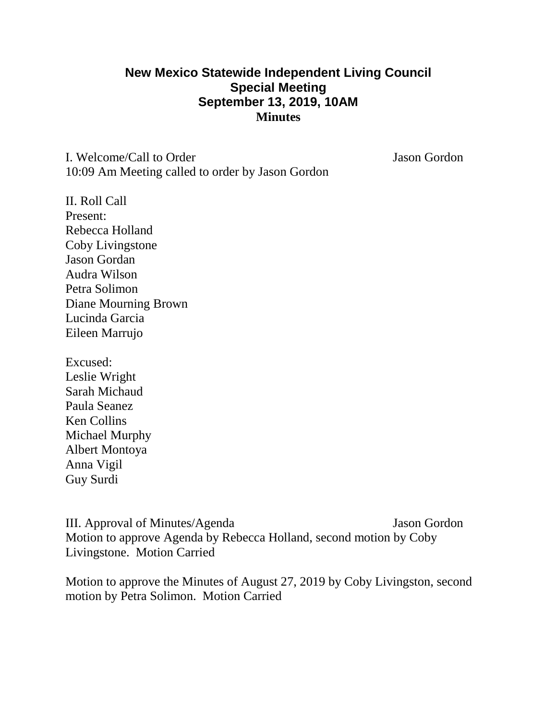## **New Mexico Statewide Independent Living Council Special Meeting September 13, 2019, 10AM Minutes**

I. Welcome/Call to Order Jason Gordon 10:09 Am Meeting called to order by Jason Gordon

II. Roll Call Present: Rebecca Holland Coby Livingstone Jason Gordan Audra Wilson Petra Solimon Diane Mourning Brown Lucinda Garcia Eileen Marrujo

Excused: Leslie Wright Sarah Michaud Paula Seanez Ken Collins Michael Murphy Albert Montoya Anna Vigil Guy Surdi

III. Approval of Minutes/Agenda Jason Gordon Motion to approve Agenda by Rebecca Holland, second motion by Coby Livingstone. Motion Carried

Motion to approve the Minutes of August 27, 2019 by Coby Livingston, second motion by Petra Solimon. Motion Carried